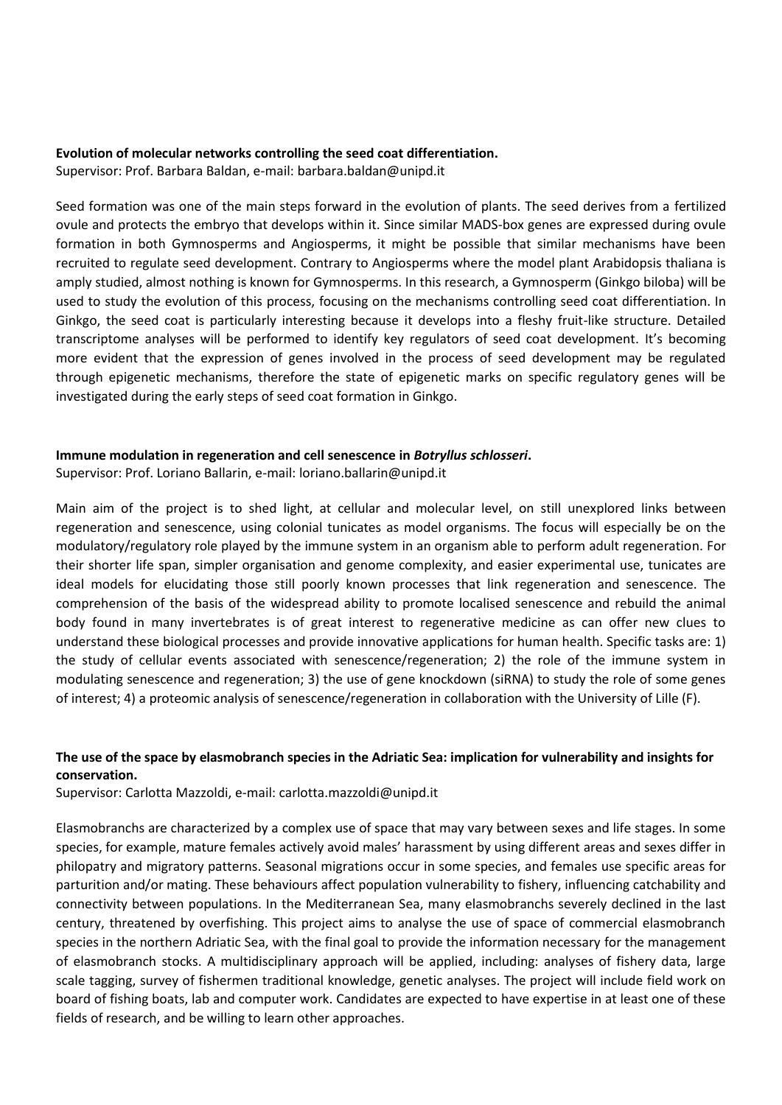#### **Evolution of molecular networks controlling the seed coat differentiation.**

Supervisor: Prof. Barbara Baldan, e-mail: barbara.baldan@unipd.it

Seed formation was one of the main steps forward in the evolution of plants. The seed derives from a fertilized ovule and protects the embryo that develops within it. Since similar MADS-box genes are expressed during ovule formation in both Gymnosperms and Angiosperms, it might be possible that similar mechanisms have been recruited to regulate seed development. Contrary to Angiosperms where the model plant Arabidopsis thaliana is amply studied, almost nothing is known for Gymnosperms. In this research, a Gymnosperm (Ginkgo biloba) will be used to study the evolution of this process, focusing on the mechanisms controlling seed coat differentiation. In Ginkgo, the seed coat is particularly interesting because it develops into a fleshy fruit-like structure. Detailed transcriptome analyses will be performed to identify key regulators of seed coat development. It's becoming more evident that the expression of genes involved in the process of seed development may be regulated through epigenetic mechanisms, therefore the state of epigenetic marks on specific regulatory genes will be investigated during the early steps of seed coat formation in Ginkgo.

## **Immune modulation in regeneration and cell senescence in** *Botryllus schlosseri***.**

Supervisor: Prof. Loriano Ballarin, e-mail: loriano.ballarin@unipd.it

Main aim of the project is to shed light, at cellular and molecular level, on still unexplored links between regeneration and senescence, using colonial tunicates as model organisms. The focus will especially be on the modulatory/regulatory role played by the immune system in an organism able to perform adult regeneration. For their shorter life span, simpler organisation and genome complexity, and easier experimental use, tunicates are ideal models for elucidating those still poorly known processes that link regeneration and senescence. The comprehension of the basis of the widespread ability to promote localised senescence and rebuild the animal body found in many invertebrates is of great interest to regenerative medicine as can offer new clues to understand these biological processes and provide innovative applications for human health. Specific tasks are: 1) the study of cellular events associated with senescence/regeneration; 2) the role of the immune system in modulating senescence and regeneration; 3) the use of gene knockdown (siRNA) to study the role of some genes of interest; 4) a proteomic analysis of senescence/regeneration in collaboration with the University of Lille (F).

# **The use of the space by elasmobranch species in the Adriatic Sea: implication for vulnerability and insights for conservation.**

Supervisor: Carlotta Mazzoldi, e-mail: carlotta.mazzoldi@unipd.it

Elasmobranchs are characterized by a complex use of space that may vary between sexes and life stages. In some species, for example, mature females actively avoid males' harassment by using different areas and sexes differ in philopatry and migratory patterns. Seasonal migrations occur in some species, and females use specific areas for parturition and/or mating. These behaviours affect population vulnerability to fishery, influencing catchability and connectivity between populations. In the Mediterranean Sea, many elasmobranchs severely declined in the last century, threatened by overfishing. This project aims to analyse the use of space of commercial elasmobranch species in the northern Adriatic Sea, with the final goal to provide the information necessary for the management of elasmobranch stocks. A multidisciplinary approach will be applied, including: analyses of fishery data, large scale tagging, survey of fishermen traditional knowledge, genetic analyses. The project will include field work on board of fishing boats, lab and computer work. Candidates are expected to have expertise in at least one of these fields of research, and be willing to learn other approaches.